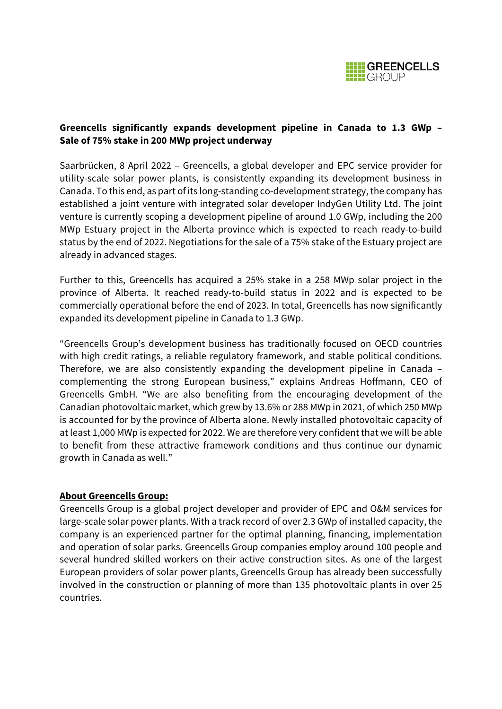

# **Greencells significantly expands development pipeline in Canada to 1.3 GWp – Sale of 75% stake in 200 MWp project underway**

Saarbrücken, 8 April 2022 – Greencells, a global developer and EPC service provider for utility-scale solar power plants, is consistently expanding its development business in Canada. To this end, as part of its long-standing co-development strategy, the company has established a joint venture with integrated solar developer IndyGen Utility Ltd. The joint venture is currently scoping a development pipeline of around 1.0 GWp, including the 200 MWp Estuary project in the Alberta province which is expected to reach ready-to-build status by the end of 2022. Negotiations for the sale of a 75% stake of the Estuary project are already in advanced stages.

Further to this, Greencells has acquired a 25% stake in a 258 MWp solar project in the province of Alberta. It reached ready-to-build status in 2022 and is expected to be commercially operational before the end of 2023. In total, Greencells has now significantly expanded its development pipeline in Canada to 1.3 GWp.

"Greencells Group's development business has traditionally focused on OECD countries with high credit ratings, a reliable regulatory framework, and stable political conditions. Therefore, we are also consistently expanding the development pipeline in Canada – complementing the strong European business," explains Andreas Hoffmann, CEO of Greencells GmbH. "We are also benefiting from the encouraging development of the Canadian photovoltaic market, which grew by 13.6% or 288 MWp in 2021, of which 250 MWp is accounted for by the province of Alberta alone. Newly installed photovoltaic capacity of at least 1,000 MWp is expected for 2022. We are therefore very confident that we will be able to benefit from these attractive framework conditions and thus continue our dynamic growth in Canada as well."

#### **About Greencells Group:**

Greencells Group is a global project developer and provider of EPC and O&M services for large-scale solar power plants. With a track record of over 2.3 GWp of installed capacity, the company is an experienced partner for the optimal planning, financing, implementation and operation of solar parks. Greencells Group companies employ around 100 people and several hundred skilled workers on their active construction sites. As one of the largest European providers of solar power plants, Greencells Group has already been successfully involved in the construction or planning of more than 135 photovoltaic plants in over 25 countries.